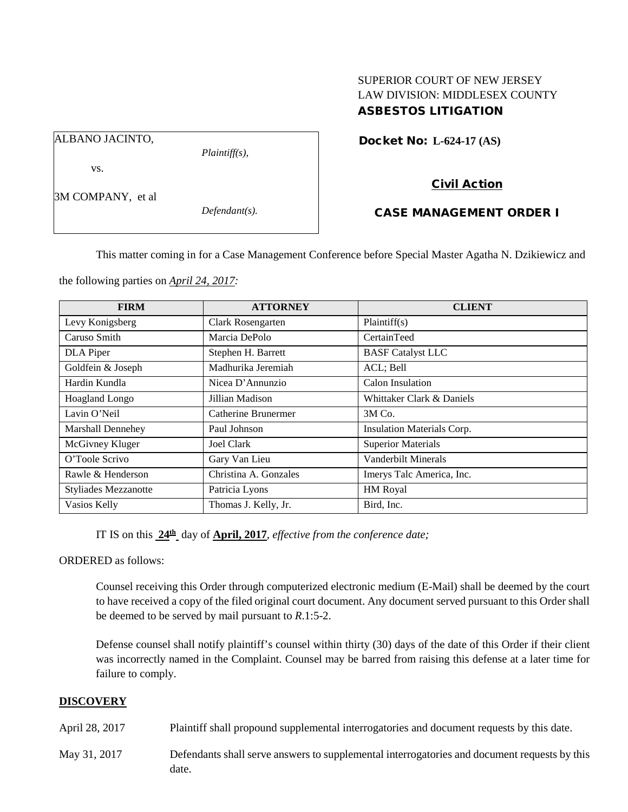# SUPERIOR COURT OF NEW JERSEY LAW DIVISION: MIDDLESEX COUNTY ASBESTOS LITIGATION

Docket No: **L-624-17 (AS)** 

ALBANO JACINTO,

vs.

*Plaintiff(s),*

# Civil Action

3M COMPANY, et al

*Defendant(s).*

# CASE MANAGEMENT ORDER I

This matter coming in for a Case Management Conference before Special Master Agatha N. Dzikiewicz and

the following parties on *April 24, 2017:*

| <b>FIRM</b>                 | <b>ATTORNEY</b>            | <b>CLIENT</b>              |
|-----------------------------|----------------------------|----------------------------|
| Levy Konigsberg             | Clark Rosengarten          | Plaintiff(s)               |
| Caruso Smith                | Marcia DePolo              | CertainTeed                |
| DLA Piper                   | Stephen H. Barrett         | <b>BASF</b> Catalyst LLC   |
| Goldfein & Joseph           | Madhurika Jeremiah         | ACL; Bell                  |
| Hardin Kundla               | Nicea D'Annunzio           | Calon Insulation           |
| Hoagland Longo              | Jillian Madison            | Whittaker Clark & Daniels  |
| Lavin O'Neil                | <b>Catherine Brunermer</b> | $3M$ Co.                   |
| Marshall Dennehey           | Paul Johnson               | Insulation Materials Corp. |
| McGivney Kluger             | Joel Clark                 | <b>Superior Materials</b>  |
| O'Toole Scrivo              | Gary Van Lieu              | Vanderbilt Minerals        |
| Rawle & Henderson           | Christina A. Gonzales      | Imerys Talc America, Inc.  |
| <b>Styliades Mezzanotte</b> | Patricia Lyons             | HM Royal                   |
| Vasios Kelly                | Thomas J. Kelly, Jr.       | Bird, Inc.                 |

IT IS on this **24th** day of **April, 2017**, *effective from the conference date;*

ORDERED as follows:

Counsel receiving this Order through computerized electronic medium (E-Mail) shall be deemed by the court to have received a copy of the filed original court document. Any document served pursuant to this Order shall be deemed to be served by mail pursuant to *R*.1:5-2.

Defense counsel shall notify plaintiff's counsel within thirty (30) days of the date of this Order if their client was incorrectly named in the Complaint. Counsel may be barred from raising this defense at a later time for failure to comply.

#### **DISCOVERY**

April 28, 2017 Plaintiff shall propound supplemental interrogatories and document requests by this date.

May 31, 2017 Defendants shall serve answers to supplemental interrogatories and document requests by this date.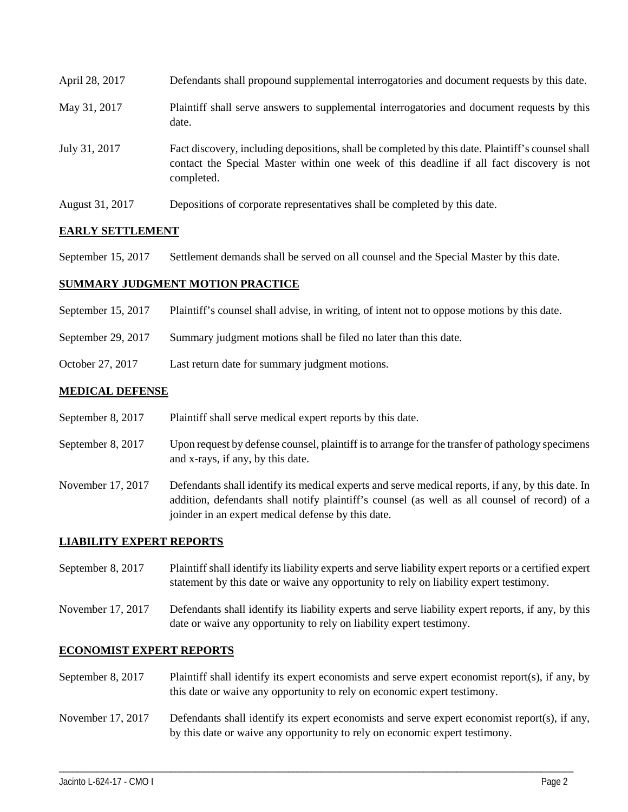| April 28, 2017  | Defendants shall propound supplemental interrogatories and document requests by this date.                                                                                                                  |
|-----------------|-------------------------------------------------------------------------------------------------------------------------------------------------------------------------------------------------------------|
| May 31, 2017    | Plaintiff shall serve answers to supplemental interrogatories and document requests by this<br>date.                                                                                                        |
| July 31, 2017   | Fact discovery, including depositions, shall be completed by this date. Plaintiff's counsel shall<br>contact the Special Master within one week of this deadline if all fact discovery is not<br>completed. |
| August 31, 2017 | Depositions of corporate representatives shall be completed by this date.                                                                                                                                   |

# **EARLY SETTLEMENT**

September 15, 2017 Settlement demands shall be served on all counsel and the Special Master by this date.

# **SUMMARY JUDGMENT MOTION PRACTICE**

- September 15, 2017 Plaintiff's counsel shall advise, in writing, of intent not to oppose motions by this date.
- September 29, 2017 Summary judgment motions shall be filed no later than this date.
- October 27, 2017 Last return date for summary judgment motions.

#### **MEDICAL DEFENSE**

- September 8, 2017 Plaintiff shall serve medical expert reports by this date.
- September 8, 2017 Upon request by defense counsel, plaintiff is to arrange for the transfer of pathology specimens and x-rays, if any, by this date.
- November 17, 2017 Defendants shall identify its medical experts and serve medical reports, if any, by this date. In addition, defendants shall notify plaintiff's counsel (as well as all counsel of record) of a joinder in an expert medical defense by this date.

# **LIABILITY EXPERT REPORTS**

- September 8, 2017 Plaintiff shall identify its liability experts and serve liability expert reports or a certified expert statement by this date or waive any opportunity to rely on liability expert testimony.
- November 17, 2017 Defendants shall identify its liability experts and serve liability expert reports, if any, by this date or waive any opportunity to rely on liability expert testimony.

#### **ECONOMIST EXPERT REPORTS**

- September 8, 2017 Plaintiff shall identify its expert economists and serve expert economist report(s), if any, by this date or waive any opportunity to rely on economic expert testimony.
- November 17, 2017 Defendants shall identify its expert economists and serve expert economist report(s), if any, by this date or waive any opportunity to rely on economic expert testimony.

\_\_\_\_\_\_\_\_\_\_\_\_\_\_\_\_\_\_\_\_\_\_\_\_\_\_\_\_\_\_\_\_\_\_\_\_\_\_\_\_\_\_\_\_\_\_\_\_\_\_\_\_\_\_\_\_\_\_\_\_\_\_\_\_\_\_\_\_\_\_\_\_\_\_\_\_\_\_\_\_\_\_\_\_\_\_\_\_\_\_\_\_\_\_\_\_\_\_\_\_\_\_\_\_\_\_\_\_\_\_